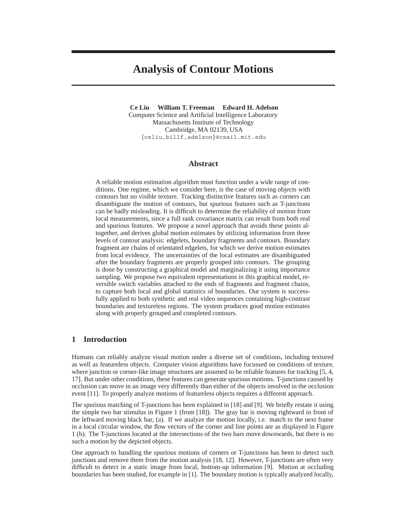# **Analysis of Contour Motions**

**Ce Liu William T. Freeman Edward H. Adelson** Computer Science and Artificial Intelligence Laboratory Massachusetts Institute of Technology Cambridge, MA 02139, USA *{*celiu,billf,adelson*}*@csail.mit.edu

### **Abstract**

A reliable motion estimation algorithm must function under a wide range of conditions. One regime, which we consider here, is the case of moving objects with contours but no visible texture. Tracking distinctive features such as corners can disambiguate the motion of contours, but spurious features such as T-junctions can be badly misleading. It is difficult to determine the reliability of motion from local measurements, since a full rank covariance matrix can result from both real and spurious features. We propose a novel approach that avoids these points altogether, and derives global motion estimates by utilizing information from three levels of contour analysis: edgelets, boundary fragments and contours. Boundary fragment are chains of orientated edgelets, for which we derive motion estimates from local evidence. The uncertainties of the local estimates are disambiguated after the boundary fragments are properly grouped into contours. The grouping is done by constructing a graphical model and marginalizing it using importance sampling. We propose two equivalent representations in this graphical model, reversible switch variables attached to the ends of fragments and fragment chains, to capture both local and global statistics of boundaries. Our system is successfully applied to both synthetic and real video sequences containing high-contrast boundaries and textureless regions. The system produces good motion estimates along with properly grouped and completed contours.

# **1 Introduction**

Humans can reliably analyze visual motion under a diverse set of conditions, including textured as well as featureless objects. Computer vision algorithms have focussed on conditions of texture, where junction or corner-like image structures are assumed to be reliable features for tracking [5, 4, 17]. But under other conditions, these features can generate spurious motions. T-junctions caused by occlusion can move in an image very differently than either of the objects involved in the occlusion event [11]. To properly analyze motions of featureless objects requires a different approach.

The spurious matching of T-junctions has been explained in [18] and [9]. We briefly restate it using the simple two bar stimulus in Figure 1 (from [18]). The gray bar is moving rightward in front of the leftward moving black bar, (a). If we analyze the motion locally, i.e. match to the next frame in a local circular window, the flow vectors of the corner and line points are as displayed in Figure 1 (b). The T-junctions located at the intersections of the two bars move downwards, but there is no such a motion by the depicted objects.

One approach to handling the spurious motions of corners or T-junctions has been to detect such junctions and remove them from the motion analysis [18, 12]. However, T-junctions are often very difficult to detect in a static image from local, bottom-up information [9]. Motion at occluding boundaries has been studied, for example in [1]. The boundary motion is typically analyzed locally,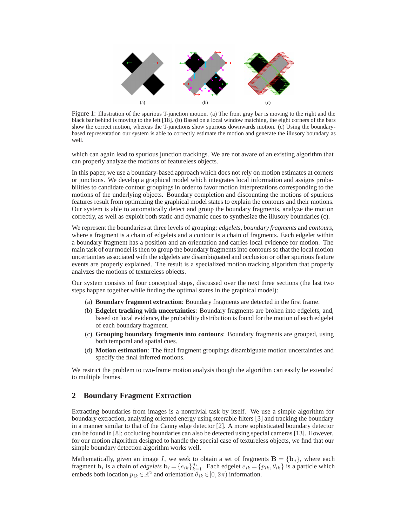

Figure 1: Illustration of the spurious T-junction motion. (a) The front gray bar is moving to the right and the black bar behind is moving to the left [18]. (b) Based on a local window matching, the eight corners of the bars show the correct motion, whereas the T-junctions show spurious downwards motion. (c) Using the boundarybased representation our system is able to correctly estimate the motion and generate the illusory boundary as well.

which can again lead to spurious junction trackings. We are not aware of an existing algorithm that can properly analyze the motions of featureless objects.

In this paper, we use a boundary-based approach which does not rely on motion estimates at corners or junctions. We develop a graphical model which integrates local information and assigns probabilities to candidate contour groupings in order to favor motion interpretations corresponding to the motions of the underlying objects. Boundary completion and discounting the motions of spurious features result from optimizing the graphical model states to explain the contours and their motions. Our system is able to automatically detect and group the boundary fragments, analyze the motion correctly, as well as exploit both static and dynamic cues to synthesize the illusory boundaries (c).

We represent the boundaries at three levels of grouping: *edgelets*, *boundary fragments* and *contours*, where a fragment is a chain of edgelets and a contour is a chain of fragments. Each edgelet within a boundary fragment has a position and an orientation and carries local evidence for motion. The main task of our model is then to group the boundary fragments into contours so that the local motion uncertainties associated with the edgelets are disambiguated and occlusion or other spurious feature events are properly explained. The result is a specialized motion tracking algorithm that properly analyzes the motions of textureless objects.

Our system consists of four conceptual steps, discussed over the next three sections (the last two steps happen together while finding the optimal states in the graphical model):

- (a) **Boundary fragment extraction**: Boundary fragments are detected in the first frame.
- (b) **Edgelet tracking with uncertainties**: Boundary fragments are broken into edgelets, and, based on local evidence, the probability distribution is found for the motion of each edgelet of each boundary fragment.
- (c) **Grouping boundary fragments into contours**: Boundary fragments are grouped, using both temporal and spatial cues.
- (d) **Motion estimation**: The final fragment groupings disambiguate motion uncertainties and specify the final inferred motions.

We restrict the problem to two-frame motion analysis though the algorithm can easily be extended to multiple frames.

## **2 Boundary Fragment Extraction**

Extracting boundaries from images is a nontrivial task by itself. We use a simple algorithm for boundary extraction, analyzing oriented energy using steerable filters [3] and tracking the boundary in a manner similar to that of the Canny edge detector [2]. A more sophisticated boundary detector can be found in [8]; occluding boundaries can also be detected using special cameras [13]. However, for our motion algorithm designed to handle the special case of textureless objects, we find that our simple boundary detection algorithm works well.

Mathematically, given an image I, we seek to obtain a set of fragments  $\mathbf{B} = \{\mathbf{b}_i\}$ , where each fragment  $\mathbf{b}_i$  is a chain of *edgelets*  $\mathbf{b}_i = \{e_{ik}\}_{k=1}^{n_i}$ . Each edgelet  $e_{ik} = \{p_{ik}, \theta_{ik}\}$  is a particle which embeds both location  $p_{ik} \in \mathbb{R}^2$  and orientation  $\theta_{ik} \in [0, 2\pi)$  information.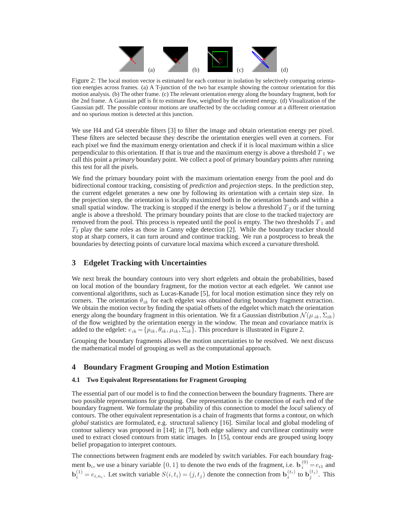

Figure 2: The local motion vector is estimated for each contour in isolation by selectively comparing orientation energies across frames. (a) A T-junction of the two bar example showing the contour orientation for this motion analysis. (b) The other frame. (c) The relevant orientation energy along the boundary fragment, both for the 2nd frame. A Gaussian pdf is fit to estimate flow, weighted by the oriented energy. (d) Visualization of the Gaussian pdf. The possible contour motions are unaffected by the occluding contour at a different orientation and no spurious motion is detected at this junction.

We use H4 and G4 steerable filters [3] to filter the image and obtain orientation energy per pixel. These filters are selected because they describe the orientation energies well even at corners. For each pixel we find the maximum energy orientation and check if it is local maximum within a slice perpendicular to this orientation. If that is true and the maximum energy is above a threshold  $T_1$  we call this point a *primary* boundary point. We collect a pool of primary boundary points after running this test for all the pixels.

We find the primary boundary point with the maximum orientation energy from the pool and do bidirectional contour tracking, consisting of *prediction* and *projection* steps. In the prediction step, the current edgelet generates a new one by following its orientation with a certain step size. In the projection step, the orientation is locally maximized both in the orientation bands and within a small spatial window. The tracking is stopped if the energy is below a threshold  $T_2$  or if the turning angle is above a threshold. The primary boundary points that are close to the tracked trajectory are removed from the pool. This process is repeated until the pool is empty. The two thresholds  $T_1$  and  $T_2$  play the same roles as those in Canny edge detection [2]. While the boundary tracker should stop at sharp corners, it can turn around and continue tracking. We run a postprocess to break the boundaries by detecting points of curvature local maxima which exceed a curvature threshold.

## **3 Edgelet Tracking with Uncertainties**

We next break the boundary contours into very short edgelets and obtain the probabilities, based on local motion of the boundary fragment, for the motion vector at each edgelet. We cannot use conventional algorithms, such as Lucas-Kanade [5], for local motion estimation since they rely on corners. The orientation  $\theta_{ik}$  for each edgelet was obtained during boundary fragment extraction. We obtain the motion vector by finding the spatial offsets of the edgelet which match the orientation energy along the boundary fragment in this orientation. We fit a Gaussian distribution  $\mathcal{N}(\mu_{ik}, \Sigma_{ik})$ of the flow weighted by the orientation energy in the window. The mean and covariance matrix is added to the edgelet:  $e_{ik} = \{p_{ik}, \theta_{ik}, \mu_{ik}, \Sigma_{ik}\}\$ . This procedure is illustrated in Figure 2.

Grouping the boundary fragments allows the motion uncertainties to be resolved. We next discuss the mathematical model of grouping as well as the computational approach.

# **4 Boundary Fragment Grouping and Motion Estimation**

### **4.1 Two Equivalent Representations for Fragment Grouping**

The essential part of our model is to find the connection between the boundary fragments. There are two possible representations for grouping. One representation is the connection of each end of the boundary fragment. We formulate the probability of this connection to model the *local* saliency of contours. The other equivalent representation is a chain of fragments that forms a contour, on which *global* statistics are formulated, e.g. structural saliency [16]. Similar local and global modeling of contour saliency was proposed in [14]; in [7], both edge saliency and curvilinear continuity were used to extract closed contours from static images. In [15], contour ends are grouped using loopy belief propagation to interpret contours.

The connections between fragment ends are modeled by switch variables. For each boundary fragment **b**<sub>i</sub>, we use a binary variable  $\{0, 1\}$  to denote the two ends of the fragment, i.e.  $\mathbf{b}_i^{(0)} = e_{i1}$  and  $\mathbf{b}_i^{(1)} = e_{i,n_i}$ . Let switch variable  $S(i, t_i) = (j, t_j)$  denote the connection from  $\mathbf{b}_i^{(t_i)}$  to  $\mathbf{b}_j^{(t_j)}$ . This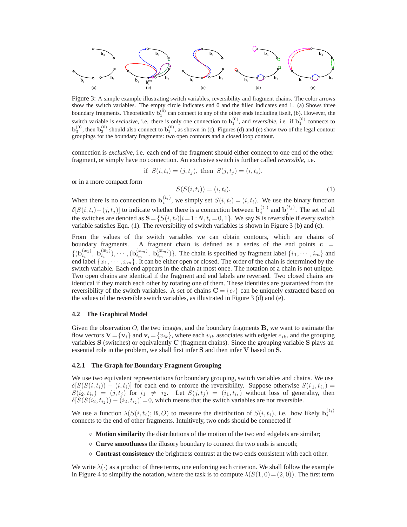

Figure 3: A simple example illustrating switch variables, reversibility and fragment chains. The color arrows show the switch variables. The empty circle indicates end 0 and the filled indicates end 1. (a) Shows three boundary fragments. Theoretically  $\mathbf{b}_1^{(0)}$  can connect to any of the other ends including itself, (b). However, the switch variable is *exclusive*, i.e. there is only one connection to  $b_1^{(0)}$ , and *reversible*, i.e. if  $b_1^{(0)}$  connects to  $\mathbf{b}_3^{(0)}$ , then  $\mathbf{b}_3^{(0)}$  should also connect to  $\mathbf{b}_1^{(0)}$ , as shown in (c). Figures (d) and (e) show two of the legal contour groupings for the boundary fragments: two open contours and a closed loop contour.

connection is *exclusive*, i.e. each end of the fragment should either connect to one end of the other fragment, or simply have no connection. An exclusive switch is further called *reversible*, i.e.

if 
$$
S(i, t_i) = (j, t_j)
$$
, then  $S(j, t_j) = (i, t_i)$ ,

or in a more compact form

$$
S(S(i, t_i)) = (i, t_i). \tag{1}
$$

When there is no connection to  $\mathbf{b}_i^{(t_i)}$ , we simply set  $S(i, t_i)=(i, t_i)$ . We use the binary function  $\delta[S(i, t_i) - (j, t_j)]$  to indicate whether there is a connection between  $\mathbf{b}_i^{(t_i)}$  and  $\mathbf{b}_j^{(t_j)}$ . The set of all the switches are denoted as  $\mathbf{S} = \{S(i, t_i)|i=1:N, t_i = 0, 1\}$ . We say **S** is reversible if every switch variable satisfies Eqn. (1). The reversibility of switch variables is shown in Figure 3 (b) and (c).

From the values of the switch variables we can obtain contours, which are chains of boundary fragments. A fragment chain is defined as a series of the end points  $c =$  $\{(\mathbf{b}_{i_1}^{(x_1)}, \mathbf{b}_{i_1}^{(\overline{x}_1)}), \cdots, (\mathbf{b}_{i_m}^{(x_m)}, \mathbf{b}_{i_m}^{(\overline{x}_m)})\}$ . The chain is specified by fragment label  $\{i_1, \cdots, i_m\}$  and end label  $\{x_1, \dots, x_m\}$ . It can be either open or closed. The order of the chain is determined by the switch variable. Each end appears in the chain at most once. The notation of a chain is not unique. Two open chains are identical if the fragment and end labels are reversed. Two closed chains are identical if they match each other by rotating one of them. These identities are guaranteed from the reversibility of the switch variables. A set of chains  $\mathbf{C} = \{c_i\}$  can be uniquely extracted based on the values of the reversible switch variables, as illustrated in Figure 3 (d) and (e).

#### **4.2 The Graphical Model**

Given the observation O, the two images, and the boundary fragments **B**, we want to estimate the flow vectors  $\mathbf{V} = {\mathbf{v}_i}$  and  $\mathbf{v}_i = {\mathbf{v}_{ik}}$ , where each  $v_{ik}$  associates with edgelet  $e_{ik}$ , and the grouping variables **S** (switches) or equivalently **C** (fragment chains). Since the grouping variable **S** plays an essential role in the problem, we shall first infer **S** and then infer **V** based on **S**.

#### **4.2.1 The Graph for Boundary Fragment Grouping**

We use two equivalent representations for boundary grouping, switch variables and chains. We use  $\delta[S(S(i, t_i)) - (i, t_i)]$  for each end to enforce the reversibility. Suppose otherwise  $S(i_1, t_{i_1}) =$  $S(i_2, t_{i_2}) = (j, t_j)$  for  $i_1 \neq i_2$ . Let  $S(j, t_j) = (i_1, t_{i_1})$  without loss of generality, then  $\delta[\widetilde{S}(S(i_2, t_{i_2})) - (i_2, t_{i_2})] = 0$ , which means that the switch variables are not reversible.

We use a function  $\lambda(S(i, t_i); \mathbf{B}, O)$  to measure the distribution of  $S(i, t_i)$ , i.e. how likely  $\mathbf{b}_i^{(t_i)}$ connects to the end of other fragments. Intuitively, two ends should be connected if

- $\Diamond$  **Motion similarity** the distributions of the motion of the two end edgelets are similar;
- $\Diamond$  **Curve smoothness** the illusory boundary to connect the two ends is smooth;
- **Contrast consistency** the brightness contrast at the two ends consistent with each other.

We write  $\lambda(\cdot)$  as a product of three terms, one enforcing each criterion. We shall follow the example in Figure 4 to simplify the notation, where the task is to compute  $\lambda(S(1, 0) = (2, 0))$ . The first term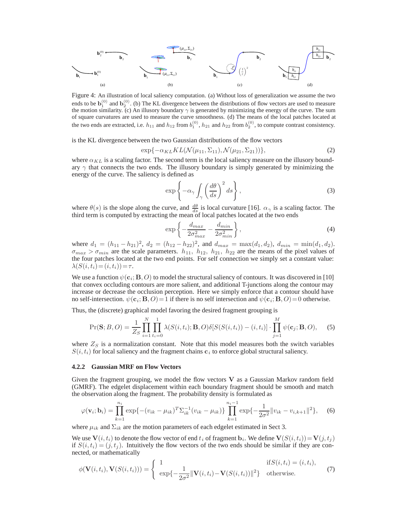

Figure 4: An illustration of local saliency computation. (a) Without loss of generalization we assume the two ends to be  $\mathbf{b}_1^{(0)}$  and  $\mathbf{b}_2^{(0)}$ . (b) The KL divergence between the distributions of flow vectors are used to measure the motion similarity. (c) An illusory boundary  $\gamma$  is generated by minimizing the energy of the curve. The sum of square curvatures are used to measure the curve smoothness. (d) The means of the local patches located at the two ends are extracted, i.e.  $h_{11}$  and  $h_{12}$  from  $b_1^{(0)}$ ,  $h_{21}$  and  $h_{22}$  from  $b_2^{(0)}$ , to compute contrast consistency.

is the KL divergence between the two Gaussian distributions of the flow vectors

$$
\exp\{-\alpha_{KL}KL(\mathcal{N}(\mu_{11}, \Sigma_{11}), \mathcal{N}(\mu_{21}, \Sigma_{21}))\},\tag{2}
$$

where  $\alpha_{KL}$  is a scaling factor. The second term is the local saliency measure on the illusory boundary  $\gamma$  that connects the two ends. The illusory boundary is simply generated by minimizing the energy of the curve. The saliency is defined as

$$
\exp\left\{-\alpha_{\gamma} \int_{\gamma} \left(\frac{d\theta}{ds}\right)^2 ds\right\},\tag{3}
$$

where  $\theta(s)$  is the slope along the curve, and  $\frac{d\theta}{ds}$  is local curvature [16].  $\alpha_{\gamma}$  is a scaling factor. The third term is computed by extracting the mean of local patches located at the two ends

$$
\exp\left\{-\frac{d_{max}}{2\sigma_{max}^2} - \frac{d_{min}}{2\sigma_{min}^2}\right\},\tag{4}
$$

where  $d_1 = (h_{11} - h_{21})^2$ ,  $d_2 = (h_{12} - h_{22})^2$ , and  $d_{max} = \max(d_1, d_2)$ ,  $d_{min} = \min(d_1, d_2)$ .  $\sigma_{max} > \sigma_{min}$  are the scale parameters.  $h_{11}$ ,  $h_{12}$ ,  $h_{21}$ ,  $h_{22}$  are the means of the pixel values of the four patches located at the two end points. For self connection we simply set a constant value:  $\lambda(S(i, t_i) = (i, t_i)) = \tau.$ 

We use a function  $\psi(\mathbf{c}_i; \mathbf{B}, O)$  to model the structural saliency of contours. It was discovered in [10] that convex occluding contours are more salient, and additional T-junctions along the contour may increase or decrease the occlusion perception. Here we simply enforce that a contour should have no self-intersection.  $\psi(\mathbf{c}_i; \mathbf{B}, O) = 1$  if there is no self intersection and  $\psi(\mathbf{c}_i; \mathbf{B}, O) = 0$  otherwise.

Thus, the (discrete) graphical model favoring the desired fragment grouping is

$$
\Pr(\mathbf{S};B,O) = \frac{1}{Z_S} \prod_{i=1}^N \prod_{t_i=0}^1 \lambda(S(i,t_i); \mathbf{B}, O)\delta[S(S(i,t_i)) - (i,t_i)] \cdot \prod_{j=1}^M \psi(\mathbf{c}_j; \mathbf{B}, O), \quad (5)
$$

where  $Z<sub>S</sub>$  is a normalization constant. Note that this model measures both the switch variables  $S(i, t_i)$  for local saliency and the fragment chains  $c_i$  to enforce global structural saliency.

#### **4.2.2 Gaussian MRF on Flow Vectors**

Given the fragment grouping, we model the flow vectors **V** as a Gaussian Markov random field (GMRF). The edgelet displacement within each boundary fragment should be smooth and match the observation along the fragment. The probability density is formulated as

$$
\varphi(\mathbf{v}_i; \mathbf{b}_i) = \prod_{k=1}^{n_i} \exp\{-(v_{ik} - \mu_{ik})^T \Sigma_{ik}^{-1} (v_{ik} - \mu_{ik})\} \prod_{k=1}^{n_i - 1} \exp\{-\frac{1}{2\sigma^2} ||v_{ik} - v_{i,k+1}||^2\},
$$
 (6)

where  $\mu_{ik}$  and  $\Sigma_{ik}$  are the motion parameters of each edgelet estimated in Sect 3.

We use  $\mathbf{V}(i, t_i)$  to denote the flow vector of end  $t_i$  of fragment  $\mathbf{b}_i$ . We define  $\mathbf{V}(S(i, t_i)) = \mathbf{V}(j, t_i)$ if  $S(i, t_i) = (j, t_j)$ . Intuitively the flow vectors of the two ends should be similar if they are connected, or mathematically

$$
\phi(\mathbf{V}(i,t_i),\mathbf{V}(S(i,t_i))) = \begin{cases} 1 & \text{if } S(i,t_i) = (i,t_i), \\ \exp\{-\frac{1}{2\sigma^2} \|\mathbf{V}(i,t_i) - \mathbf{V}(S(i,t_i))\|^2\} & \text{otherwise.} \end{cases}
$$
(7)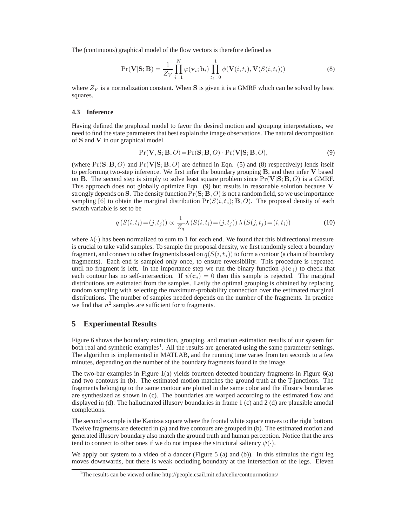The (continuous) graphical model of the flow vectors is therefore defined as

$$
Pr(\mathbf{V}|\mathbf{S};\mathbf{B}) = \frac{1}{Z_V} \prod_{i=1}^{N} \varphi(\mathbf{v}_i; \mathbf{b}_i) \prod_{t_i=0}^{1} \phi(\mathbf{V}(i, t_i), \mathbf{V}(S(i, t_i)))
$$
(8)

where  $Z_V$  is a normalization constant. When S is given it is a GMRF which can be solved by least squares.

#### **4.3 Inference**

Having defined the graphical model to favor the desired motion and grouping interpretations, we need to find the state parameters that best explain the image observations. The natural decomposition of **S** and **V** in our graphical model

$$
Pr(\mathbf{V}, \mathbf{S}; \mathbf{B}, O) = Pr(\mathbf{S}; \mathbf{B}, O) \cdot Pr(\mathbf{V} | \mathbf{S}; \mathbf{B}, O),
$$
\n(9)

(where  $Pr(S; B, O)$  and  $Pr(V|S; B, O)$  are defined in Eqn. (5) and (8) respectively) lends itself to performing two-step inference. We first infer the boundary grouping **B**, and then infer **V** based on **B**. The second step is simply to solve least square problem since  $Pr(V|S; B, O)$  is a GMRF. This approach does not globally optimize Eqn. (9) but results in reasonable solution because **V** strongly depends on **S**. The density function  $Pr(S; B, O)$  is not a random field, so we use importance sampling [6] to obtain the marginal distribution  $Pr(S(i, t_i); B, O)$ . The proposal density of each switch variable is set to be

$$
q(S(i, t_i) = (j, t_j)) \propto \frac{1}{Z_q} \lambda(S(i, t_i) = (j, t_j)) \lambda(S(j, t_j) = (i, t_i))
$$
\n(10)

where  $\lambda(\cdot)$  has been normalized to sum to 1 for each end. We found that this bidirectional measure is crucial to take valid samples. To sample the proposal density, we first randomly select a boundary fragment, and connect to other fragments based on  $q(S(i, t_i))$  to form a contour (a chain of boundary fragments). Each end is sampled only once, to ensure reversibility. This procedure is repeated until no fragment is left. In the importance step we run the binary function  $\psi(c_i)$  to check that each contour has no self-intersection. If  $\psi(\mathbf{c}_i)=0$  then this sample is rejected. The marginal distributions are estimated from the samples. Lastly the optimal grouping is obtained by replacing random sampling with selecting the maximum-probability connection over the estimated marginal distributions. The number of samples needed depends on the number of the fragments. In practice we find that  $n^2$  samples are sufficient for n fragments.

## **5 Experimental Results**

Figure 6 shows the boundary extraction, grouping, and motion estimation results of our system for both real and synthetic examples<sup>1</sup>. All the results are generated using the same parameter settings. The algorithm is implemented in MATLAB, and the running time varies from ten seconds to a few minutes, depending on the number of the boundary fragments found in the image.

The two-bar examples in Figure 1(a) yields fourteen detected boundary fragments in Figure 6(a) and two contours in (b). The estimated motion matches the ground truth at the T-junctions. The fragments belonging to the same contour are plotted in the same color and the illusory boundaries are synthesized as shown in (c). The boundaries are warped according to the estimated flow and displayed in (d). The hallucinated illusory boundaries in frame 1 (c) and 2 (d) are plausible amodal completions.

The second example is the Kanizsa square where the frontal white square moves to the right bottom. Twelve fragments are detected in (a) and five contours are grouped in (b). The estimated motion and generated illusory boundary also match the ground truth and human perception. Notice that the arcs tend to connect to other ones if we do not impose the structural saliency  $\psi(\cdot)$ .

We apply our system to a video of a dancer (Figure 5 (a) and (b)). In this stimulus the right leg moves downwards, but there is weak occluding boundary at the intersection of the legs. Eleven

<sup>&</sup>lt;sup>1</sup>The results can be viewed online http://people.csail.mit.edu/celiu/contourmotions/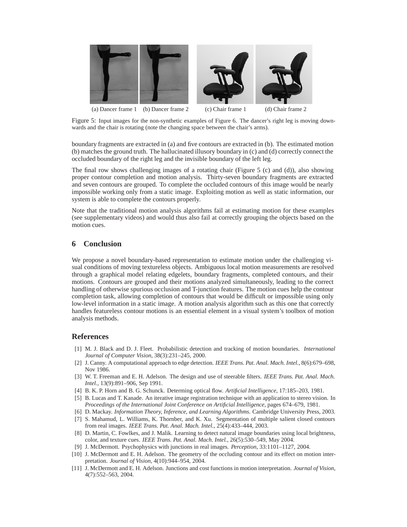

Figure 5: Input images for the non-synthetic examples of Figure 6. The dancer's right leg is moving downwards and the chair is rotating (note the changing space between the chair's arms).

boundary fragments are extracted in (a) and five contours are extracted in (b). The estimated motion (b) matches the ground truth. The hallucinated illusory boundary in (c) and (d) correctly connect the occluded boundary of the right leg and the invisible boundary of the left leg.

The final row shows challenging images of a rotating chair (Figure 5 (c) and (d)), also showing proper contour completion and motion analysis. Thirty-seven boundary fragments are extracted and seven contours are grouped. To complete the occluded contours of this image would be nearly impossible working only from a static image. Exploiting motion as well as static information, our system is able to complete the contours properly.

Note that the traditional motion analysis algorithms fail at estimating motion for these examples (see supplementary videos) and would thus also fail at correctly grouping the objects based on the motion cues.

## **6 Conclusion**

We propose a novel boundary-based representation to estimate motion under the challenging visual conditions of moving textureless objects. Ambiguous local motion measurements are resolved through a graphical model relating edgelets, boundary fragments, completed contours, and their motions. Contours are grouped and their motions analyzed simultaneously, leading to the correct handling of otherwise spurious occlusion and T-junction features. The motion cues help the contour completion task, allowing completion of contours that would be difficult or impossible using only low-level information in a static image. A motion analysis algorithm such as this one that correctly handles featureless contour motions is an essential element in a visual system's toolbox of motion analysis methods.

## **References**

- [1] M. J. Black and D. J. Fleet. Probabilistic detection and tracking of motion boundaries. *International Journal of Computer Vision*, 38(3):231–245, 2000.
- [2] J. Canny. A computational approach to edge detection. *IEEE Trans. Pat. Anal. Mach. Intel.*, 8(6):679–698, Nov 1986.
- [3] W. T. Freeman and E. H. Adelson. The design and use of steerable filters. *IEEE Trans. Pat. Anal. Mach. Intel.*, 13(9):891–906, Sep 1991.
- [4] B. K. P. Horn and B. G. Schunck. Determing optical flow. *Artificial Intelligence*, 17:185–203, 1981.
- [5] B. Lucas and T. Kanade. An iterative image registration technique with an application to stereo vision. In *Proceedings of the International Joint Conference on Artificial Intelligence*, pages 674–679, 1981.
- [6] D. Mackay. *Information Theory, Inference, and Learning Algorithms*. Cambridge University Press, 2003.
- [7] S. Mahamud, L. Williams, K. Thornber, and K. Xu. Segmentation of multiple salient closed contours from real images. *IEEE Trans. Pat. Anal. Mach. Intel.*, 25(4):433–444, 2003.
- [8] D. Martin, C. Fowlkes, and J. Malik. Learning to detect natural image boundaries using local brightness, color, and texture cues. *IEEE Trans. Pat. Anal. Mach. Intel.*, 26(5):530–549, May 2004.
- [9] J. McDermott. Psychophysics with junctions in real images. *Perception*, 33:1101–1127, 2004.
- [10] J. McDermott and E. H. Adelson. The geometry of the occluding contour and its effect on motion interpretation. *Journal of Vision*, 4(10):944–954, 2004.
- [11] J. McDermott and E. H. Adelson. Junctions and cost functions in motion interpretation. *Journal of Vision*, 4(7):552–563, 2004.